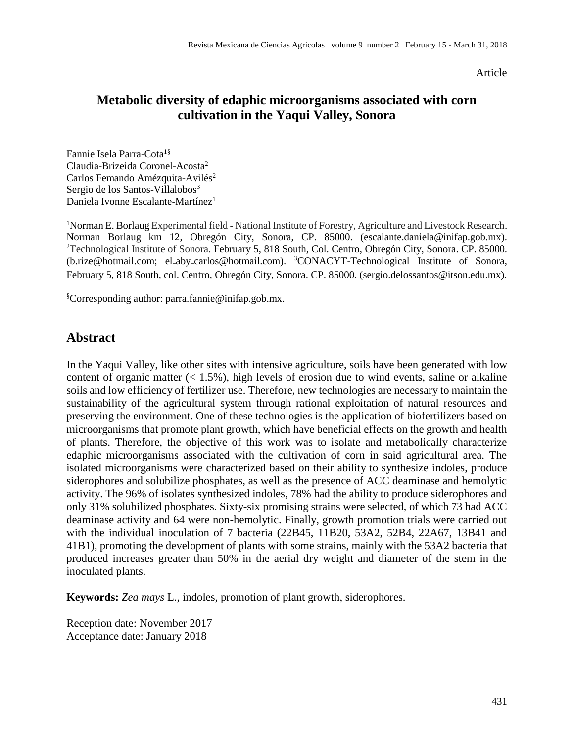Article

# **Metabolic diversity of edaphic microorganisms associated with corn cultivation in the Yaqui Valley, Sonora**

Fannie Isela Parra-Cota1§ Claudia-Brizeida Coronel-Acosta<sup>2</sup> Carlos Femando Amézquita-Avilés<sup>2</sup> Sergio de los Santos-Villalobos<sup>3</sup> Daniela Ivonne Escalante-Martínez<sup>1</sup>

<sup>1</sup>Norman E. Borlaug Experimental field - National Institute of Forestry, Agriculture and Livestock Research. Norman Borlaug km 12, Obregón City, Sonora, CP. 85000. (escalante.daniela@inifap.gob.mx). <sup>2</sup>Technological Institute of Sonora. February 5, 818 South, Col. Centro, Obregón City, Sonora. CP. 85000. (b.rize@hotmail.com; el-aby-carlos@hotmail.com). <sup>3</sup>CONACYT-Technological Institute of Sonora, February 5, 818 South, col. Centro, Obregón City, Sonora. CP. 85000. (sergio.delossantos@itson.edu.mx).

§Corresponding author: parra.fannie@inifap.gob.mx.

### **Abstract**

In the Yaqui Valley, like other sites with intensive agriculture, soils have been generated with low content of organic matter  $(< 1.5\%)$ , high levels of erosion due to wind events, saline or alkaline soils and low efficiency of fertilizer use. Therefore, new technologies are necessary to maintain the sustainability of the agricultural system through rational exploitation of natural resources and preserving the environment. One of these technologies is the application of biofertilizers based on microorganisms that promote plant growth, which have beneficial effects on the growth and health of plants. Therefore, the objective of this work was to isolate and metabolically characterize edaphic microorganisms associated with the cultivation of corn in said agricultural area. The isolated microorganisms were characterized based on their ability to synthesize indoles, produce siderophores and solubilize phosphates, as well as the presence of ACC deaminase and hemolytic activity. The 96% of isolates synthesized indoles, 78% had the ability to produce siderophores and only 31% solubilized phosphates. Sixty-six promising strains were selected, of which 73 had ACC deaminase activity and 64 were non-hemolytic. Finally, growth promotion trials were carried out with the individual inoculation of 7 bacteria (22B45, 11B20, 53A2, 52B4, 22A67, 13B41 and 41B1), promoting the development of plants with some strains, mainly with the 53A2 bacteria that produced increases greater than 50% in the aerial dry weight and diameter of the stem in the inoculated plants.

**Keywords:** *Zea mays* L., indoles, promotion of plant growth, siderophores.

Reception date: November 2017 Acceptance date: January 2018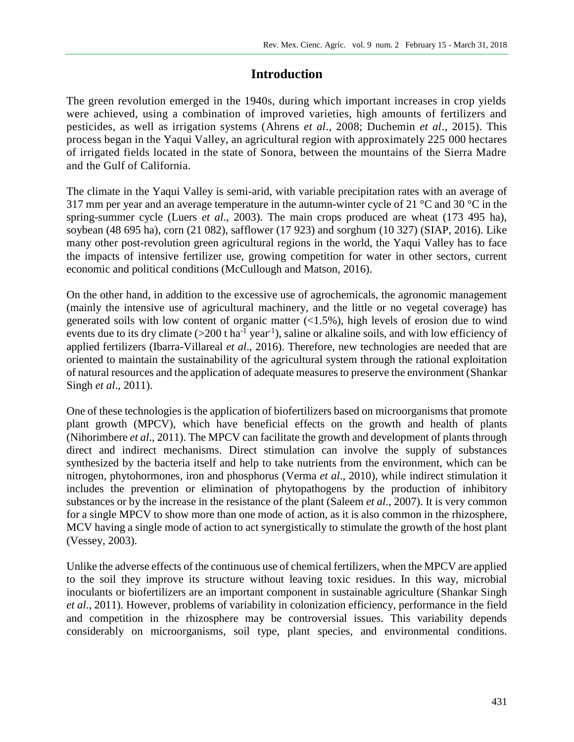# **Introduction**

The green revolution emerged in the 1940s, during which important increases in crop yields were achieved, using a combination of improved varieties, high amounts of fertilizers and pesticides, as well as irrigation systems (Ahrens *et al*., 2008; Duchemin *et al*., 2015). This process began in the Yaqui Valley, an agricultural region with approximately 225 000 hectares of irrigated fields located in the state of Sonora, between the mountains of the Sierra Madre and the Gulf of California.

The climate in the Yaqui Valley is semi-arid, with variable precipitation rates with an average of 317 mm per year and an average temperature in the autumn-winter cycle of 21 °C and 30 °C in the spring-summer cycle (Luers *et al*., 2003). The main crops produced are wheat (173 495 ha), soybean (48 695 ha), corn (21 082), safflower (17 923) and sorghum (10 327) (SIAP, 2016). Like many other post-revolution green agricultural regions in the world, the Yaqui Valley has to face the impacts of intensive fertilizer use, growing competition for water in other sectors, current economic and political conditions (McCullough and Matson, 2016).

On the other hand, in addition to the excessive use of agrochemicals, the agronomic management (mainly the intensive use of agricultural machinery, and the little or no vegetal coverage) has generated soils with low content of organic matter  $\left($ <1.5%), high levels of erosion due to wind events due to its dry climate  $(>=200$  t ha<sup>-1</sup> year<sup>-1</sup>), saline or alkaline soils, and with low efficiency of applied fertilizers (Ibarra-Villareal *et al*., 2016). Therefore, new technologies are needed that are oriented to maintain the sustainability of the agricultural system through the rational exploitation of natural resources and the application of adequate measures to preserve the environment (Shankar Singh *et al*., 2011).

One of these technologies is the application of biofertilizers based on microorganisms that promote plant growth (MPCV), which have beneficial effects on the growth and health of plants (Nihorimbere *et al*., 2011). The MPCV can facilitate the growth and development of plants through direct and indirect mechanisms. Direct stimulation can involve the supply of substances synthesized by the bacteria itself and help to take nutrients from the environment, which can be nitrogen, phytohormones, iron and phosphorus (Verma *et al*., 2010), while indirect stimulation it includes the prevention or elimination of phytopathogens by the production of inhibitory substances or by the increase in the resistance of the plant (Saleem *et al*., 2007). It is very common for a single MPCV to show more than one mode of action, as it is also common in the rhizosphere, MCV having a single mode of action to act synergistically to stimulate the growth of the host plant (Vessey, 2003).

Unlike the adverse effects of the continuous use of chemical fertilizers, when the MPCV are applied to the soil they improve its structure without leaving toxic residues. In this way, microbial inoculants or biofertilizers are an important component in sustainable agriculture (Shankar Singh *et al*., 2011). However, problems of variability in colonization efficiency, performance in the field and competition in the rhizosphere may be controversial issues. This variability depends considerably on microorganisms, soil type, plant species, and environmental conditions.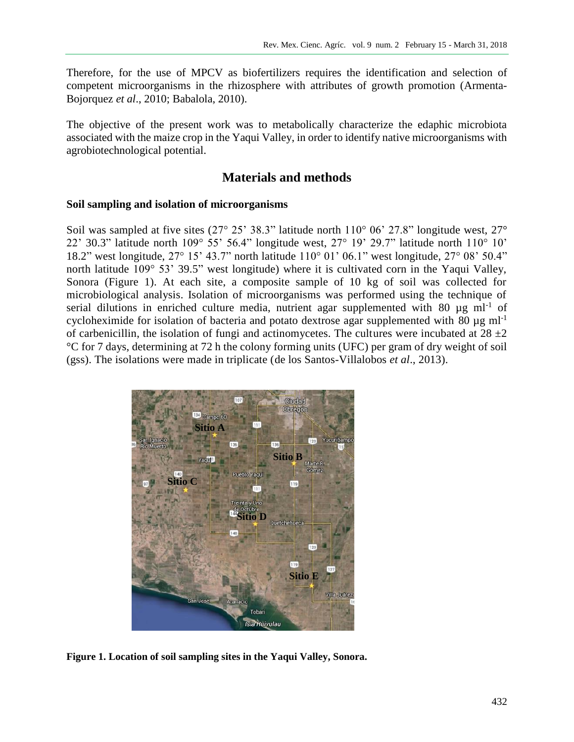Therefore, for the use of MPCV as biofertilizers requires the identification and selection of competent microorganisms in the rhizosphere with attributes of growth promotion (Armenta-Bojorquez *et al*., 2010; Babalola, 2010).

The objective of the present work was to metabolically characterize the edaphic microbiota associated with the maize crop in the Yaqui Valley, in order to identify native microorganisms with agrobiotechnological potential.

## **Materials and methods**

#### **Soil sampling and isolation of microorganisms**

Soil was sampled at five sites (27° 25' 38.3" latitude north 110° 06' 27.8" longitude west, 27° 22' 30.3" latitude north 109° 55' 56.4" longitude west, 27° 19' 29.7" latitude north 110° 10' 18.2" west longitude, 27° 15' 43.7" north latitude 110° 01' 06.1" west longitude, 27° 08' 50.4" north latitude 109° 53' 39.5" west longitude) where it is cultivated corn in the Yaqui Valley, Sonora (Figure 1). At each site, a composite sample of 10 kg of soil was collected for microbiological analysis. Isolation of microorganisms was performed using the technique of serial dilutions in enriched culture media, nutrient agar supplemented with 80  $\mu$ g ml<sup>-1</sup> of cycloheximide for isolation of bacteria and potato dextrose agar supplemented with 80  $\mu$ g ml<sup>-1</sup> of carbenicillin, the isolation of fungi and actinomycetes. The cultures were incubated at  $28 \pm 2$ °C for 7 days, determining at 72 h the colony forming units (UFC) per gram of dry weight of soil (gss). The isolations were made in triplicate (de los Santos-Villalobos *et al*., 2013).



**Figure 1. Location of soil sampling sites in the Yaqui Valley, Sonora.**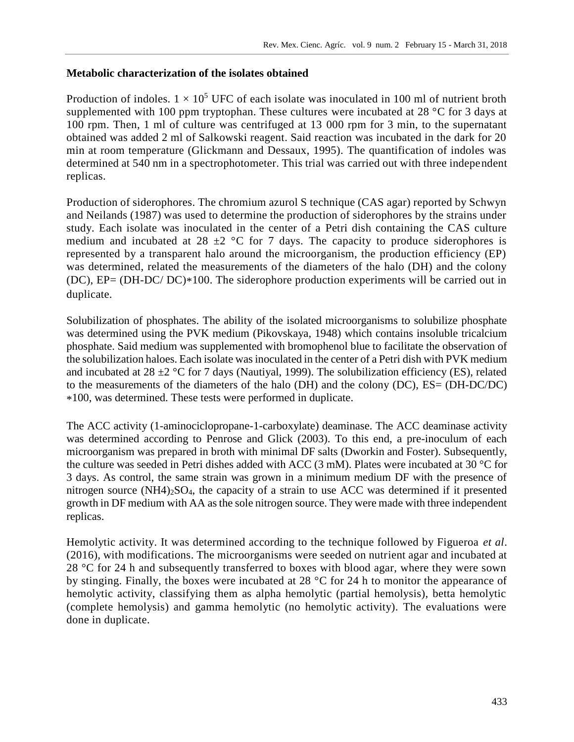#### **Metabolic characterization of the isolates obtained**

Production of indoles.  $1 \times 10^5$  UFC of each isolate was inoculated in 100 ml of nutrient broth supplemented with 100 ppm tryptophan. These cultures were incubated at 28 °C for 3 days at 100 rpm. Then, 1 ml of culture was centrifuged at 13 000 rpm for 3 min, to the supernatant obtained was added 2 ml of Salkowski reagent. Said reaction was incubated in the dark for 20 min at room temperature (Glickmann and Dessaux, 1995). The quantification of indoles was determined at 540 nm in a spectrophotometer. This trial was carried out with three independent replicas.

Production of siderophores. The chromium azurol S technique (CAS agar) reported by Schwyn and Neilands (1987) was used to determine the production of siderophores by the strains under study. Each isolate was inoculated in the center of a Petri dish containing the CAS culture medium and incubated at  $28 \pm 2$  °C for 7 days. The capacity to produce siderophores is represented by a transparent halo around the microorganism, the production efficiency (EP) was determined, related the measurements of the diameters of the halo (DH) and the colony (DC), EP= (DH-DC/ DC)\*100. The siderophore production experiments will be carried out in duplicate.

Solubilization of phosphates. The ability of the isolated microorganisms to solubilize phosphate was determined using the PVK medium (Pikovskaya, 1948) which contains insoluble tricalcium phosphate. Said medium was supplemented with bromophenol blue to facilitate the observation of the solubilization haloes. Each isolate was inoculated in the center of a Petri dish with PVK medium and incubated at 28  $\pm$ 2 °C for 7 days (Nautiyal, 1999). The solubilization efficiency (ES), related to the measurements of the diameters of the halo (DH) and the colony (DC), ES= (DH-DC/DC) \*100, was determined. These tests were performed in duplicate.

The ACC activity (1-aminociclopropane-1-carboxylate) deaminase. The ACC deaminase activity was determined according to Penrose and Glick (2003). To this end, a pre-inoculum of each microorganism was prepared in broth with minimal DF salts (Dworkin and Foster). Subsequently, the culture was seeded in Petri dishes added with ACC (3 mM). Plates were incubated at 30 °C for 3 days. As control, the same strain was grown in a minimum medium DF with the presence of nitrogen source  $(NH4)_2SO_4$ , the capacity of a strain to use ACC was determined if it presented growth in DF medium with AA as the sole nitrogen source. They were made with three independent replicas.

Hemolytic activity. It was determined according to the technique followed by Figueroa *et al*. (2016), with modifications. The microorganisms were seeded on nutrient agar and incubated at 28 °C for 24 h and subsequently transferred to boxes with blood agar, where they were sown by stinging. Finally, the boxes were incubated at 28 °C for 24 h to monitor the appearance of hemolytic activity, classifying them as alpha hemolytic (partial hemolysis), betta hemolytic (complete hemolysis) and gamma hemolytic (no hemolytic activity). The evaluations were done in duplicate.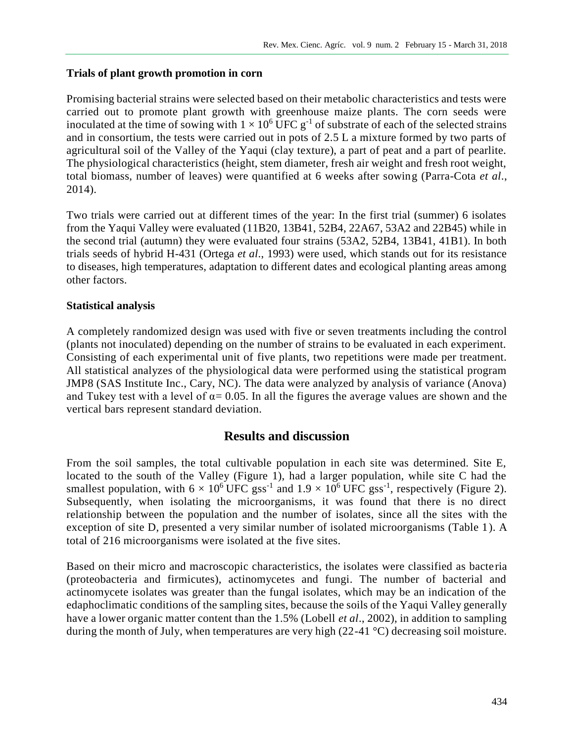#### **Trials of plant growth promotion in corn**

Promising bacterial strains were selected based on their metabolic characteristics and tests were carried out to promote plant growth with greenhouse maize plants. The corn seeds were inoculated at the time of sowing with  $1 \times 10^6$  UFC g<sup>-1</sup> of substrate of each of the selected strains and in consortium, the tests were carried out in pots of 2.5 L a mixture formed by two parts of agricultural soil of the Valley of the Yaqui (clay texture), a part of peat and a part of pearlite. The physiological characteristics (height, stem diameter, fresh air weight and fresh root weight, total biomass, number of leaves) were quantified at 6 weeks after sowing (Parra-Cota *et al*., 2014).

Two trials were carried out at different times of the year: In the first trial (summer) 6 isolates from the Yaqui Valley were evaluated (11B20, 13B41, 52B4, 22A67, 53A2 and 22B45) while in the second trial (autumn) they were evaluated four strains (53A2, 52B4, 13B41, 41B1). In both trials seeds of hybrid H-431 (Ortega *et al*., 1993) were used, which stands out for its resistance to diseases, high temperatures, adaptation to different dates and ecological planting areas among other factors.

#### **Statistical analysis**

A completely randomized design was used with five or seven treatments including the control (plants not inoculated) depending on the number of strains to be evaluated in each experiment. Consisting of each experimental unit of five plants, two repetitions were made per treatment. All statistical analyzes of the physiological data were performed using the statistical program JMP8 (SAS Institute Inc., Cary, NC). The data were analyzed by analysis of variance (Anova) and Tukey test with a level of  $\alpha$  = 0.05. In all the figures the average values are shown and the vertical bars represent standard deviation.

### **Results and discussion**

From the soil samples, the total cultivable population in each site was determined. Site E, located to the south of the Valley (Figure 1), had a larger population, while site C had the smallest population, with  $6 \times 10^6$  UFC gss<sup>-1</sup> and  $1.9 \times 10^6$  UFC gss<sup>-1</sup>, respectively (Figure 2). Subsequently, when isolating the microorganisms, it was found that there is no direct relationship between the population and the number of isolates, since all the sites with the exception of site D, presented a very similar number of isolated microorganisms (Table 1). A total of 216 microorganisms were isolated at the five sites.

Based on their micro and macroscopic characteristics, the isolates were classified as bacteria (proteobacteria and firmicutes), actinomycetes and fungi. The number of bacterial and actinomycete isolates was greater than the fungal isolates, which may be an indication of the edaphoclimatic conditions of the sampling sites, because the soils of the Yaqui Valley generally have a lower organic matter content than the 1.5% (Lobell *et al*., 2002), in addition to sampling during the month of July, when temperatures are very high (22-41 °C) decreasing soil moisture.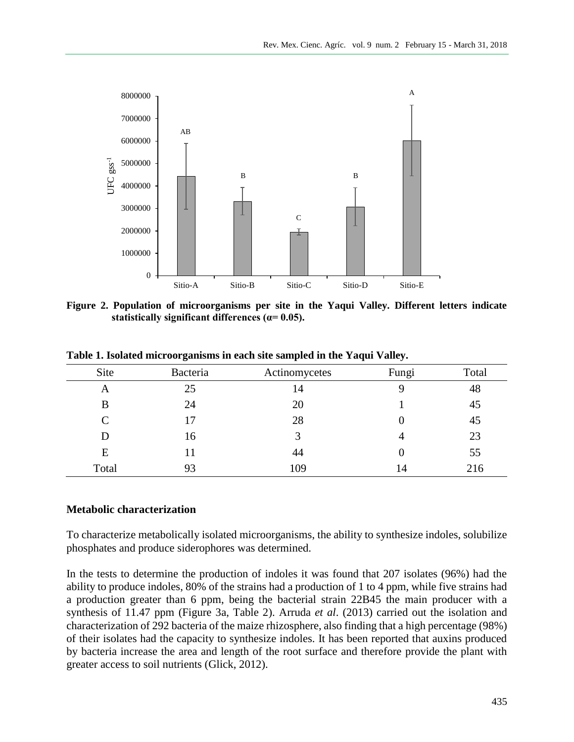

**Figure 2. Population of microorganisms per site in the Yaqui Valley. Different letters indicate statistically significant differences (α= 0.05).**

| Site  | Bacteria | Actinomycetes | Fungi | Total |
|-------|----------|---------------|-------|-------|
| A     | 25       | 14            |       | 48    |
| B     | 24       | 20            |       | 45    |
| C     |          | 28            |       | 45    |
| D     | 16       | 3             |       | 23    |
| E     |          | 44            |       | 55    |
| Total | 93       | 109           | 14    | 216   |

**Table 1. Isolated microorganisms in each site sampled in the Yaqui Valley.**

#### **Metabolic characterization**

To characterize metabolically isolated microorganisms, the ability to synthesize indoles, solubilize phosphates and produce siderophores was determined.

In the tests to determine the production of indoles it was found that 207 isolates (96%) had the ability to produce indoles, 80% of the strains had a production of 1 to 4 ppm, while five strains had a production greater than 6 ppm, being the bacterial strain 22B45 the main producer with a synthesis of 11.47 ppm (Figure 3a, Table 2). Arruda *et al*. (2013) carried out the isolation and characterization of 292 bacteria of the maize rhizosphere, also finding that a high percentage (98%) of their isolates had the capacity to synthesize indoles. It has been reported that auxins produced by bacteria increase the area and length of the root surface and therefore provide the plant with greater access to soil nutrients (Glick, 2012).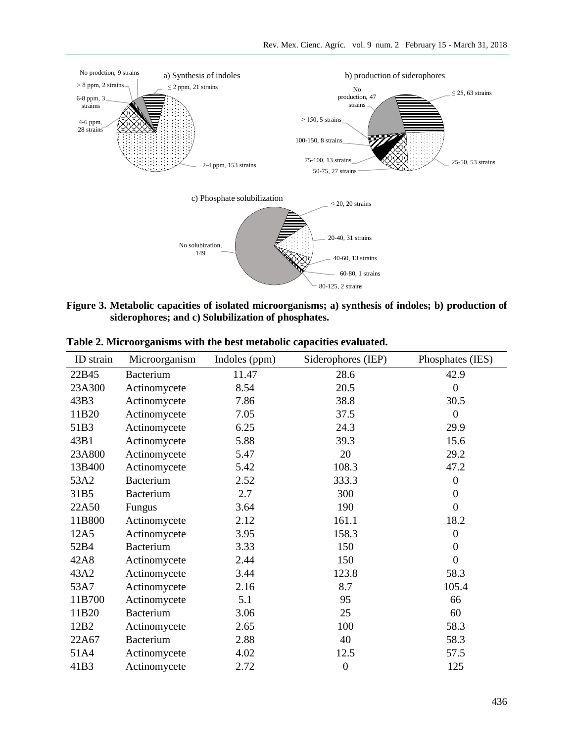

**Figure 3. Metabolic capacities of isolated microorganisms; a) synthesis of indoles; b) production of siderophores; and c) Solubilization of phosphates.**

| ID strain | Microorganism    | Indoles (ppm) | Siderophores (IEP) | Phosphates (IES) |
|-----------|------------------|---------------|--------------------|------------------|
| 22B45     | Bacterium        | 11.47         | 28.6               | 42.9             |
| 23A300    | Actinomycete     | 8.54          | 20.5               | $\overline{0}$   |
| 43B3      | Actinomycete     | 7.86          | 38.8               | 30.5             |
| 11B20     | Actinomycete     | 7.05          | 37.5               | $\theta$         |
| 51B3      | Actinomycete     | 6.25          | 24.3               | 29.9             |
| 43B1      | Actinomycete     | 5.88          | 39.3               | 15.6             |
| 23A800    | Actinomycete     | 5.47          | 20                 | 29.2             |
| 13B400    | Actinomycete     | 5.42          | 108.3              | 47.2             |
| 53A2      | <b>Bacterium</b> | 2.52          | 333.3              | $\boldsymbol{0}$ |
| 31B5      | <b>Bacterium</b> | 2.7           | 300                | $\boldsymbol{0}$ |
| 22A50     | Fungus           | 3.64          | 190                | $\boldsymbol{0}$ |
| 11B800    | Actinomycete     | 2.12          | 161.1              | 18.2             |
| 12A5      | Actinomycete     | 3.95          | 158.3              | $\boldsymbol{0}$ |
| 52B4      | Bacterium        | 3.33          | 150                | $\boldsymbol{0}$ |
| 42A8      | Actinomycete     | 2.44          | 150                | $\boldsymbol{0}$ |
| 43A2      | Actinomycete     | 3.44          | 123.8              | 58.3             |
| 53A7      | Actinomycete     | 2.16          | 8.7                | 105.4            |
| 11B700    | Actinomycete     | 5.1           | 95                 | 66               |
| 11B20     | <b>Bacterium</b> | 3.06          | 25                 | 60               |
| 12B2      | Actinomycete     | 2.65          | 100                | 58.3             |
| 22A67     | <b>Bacterium</b> | 2.88          | 40                 | 58.3             |
| 51A4      | Actinomycete     | 4.02          | 12.5               | 57.5             |
| 41B3      | Actinomycete     | 2.72          | $\boldsymbol{0}$   | 125              |

**Table 2. Microorganisms with the best metabolic capacities evaluated.**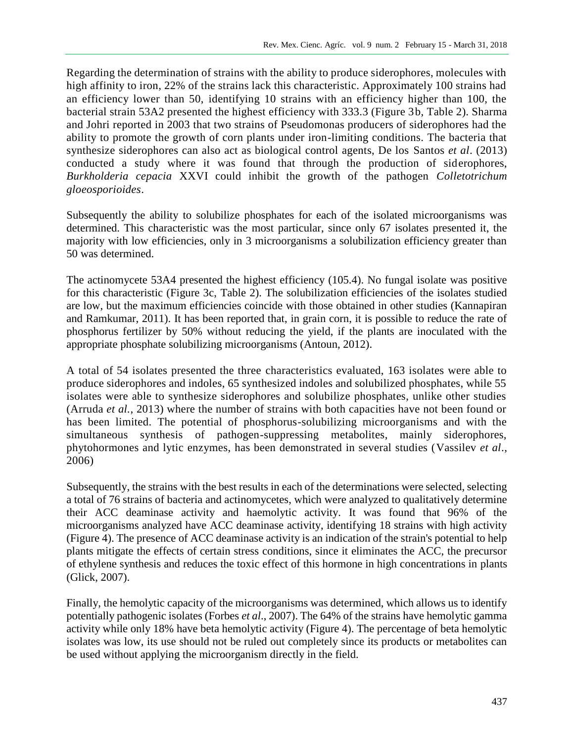Regarding the determination of strains with the ability to produce siderophores, molecules with high affinity to iron, 22% of the strains lack this characteristic. Approximately 100 strains had an efficiency lower than 50, identifying 10 strains with an efficiency higher than 100, the bacterial strain 53A2 presented the highest efficiency with 333.3 (Figure 3b, Table 2). Sharma and Johri reported in 2003 that two strains of Pseudomonas producers of siderophores had the ability to promote the growth of corn plants under iron-limiting conditions. The bacteria that synthesize siderophores can also act as biological control agents, De los Santos *et al*. (2013) conducted a study where it was found that through the production of siderophores, *Burkholderia cepacia* XXVI could inhibit the growth of the pathogen *Colletotrichum gloeosporioides*.

Subsequently the ability to solubilize phosphates for each of the isolated microorganisms was determined. This characteristic was the most particular, since only 67 isolates presented it, the majority with low efficiencies, only in 3 microorganisms a solubilization efficiency greater than 50 was determined.

The actinomycete 53A4 presented the highest efficiency (105.4). No fungal isolate was positive for this characteristic (Figure 3c, Table 2). The solubilization efficiencies of the isolates studied are low, but the maximum efficiencies coincide with those obtained in other studies (Kannapiran and Ramkumar, 2011). It has been reported that, in grain corn, it is possible to reduce the rate of phosphorus fertilizer by 50% without reducing the yield, if the plants are inoculated with the appropriate phosphate solubilizing microorganisms (Antoun, 2012).

A total of 54 isolates presented the three characteristics evaluated, 163 isolates were able to produce siderophores and indoles, 65 synthesized indoles and solubilized phosphates, while 55 isolates were able to synthesize siderophores and solubilize phosphates, unlike other studies (Arruda *et al.*, 2013) where the number of strains with both capacities have not been found or has been limited. The potential of phosphorus-solubilizing microorganisms and with the simultaneous synthesis of pathogen-suppressing metabolites, mainly siderophores, phytohormones and lytic enzymes, has been demonstrated in several studies (Vassilev *et al*., 2006)

Subsequently, the strains with the best results in each of the determinations were selected, selecting a total of 76 strains of bacteria and actinomycetes, which were analyzed to qualitatively determine their ACC deaminase activity and haemolytic activity. It was found that 96% of the microorganisms analyzed have ACC deaminase activity, identifying 18 strains with high activity (Figure 4). The presence of ACC deaminase activity is an indication of the strain's potential to help plants mitigate the effects of certain stress conditions, since it eliminates the ACC, the precursor of ethylene synthesis and reduces the toxic effect of this hormone in high concentrations in plants (Glick, 2007).

Finally, the hemolytic capacity of the microorganisms was determined, which allows us to identify potentially pathogenic isolates (Forbes *et al*., 2007). The 64% of the strains have hemolytic gamma activity while only 18% have beta hemolytic activity (Figure 4). The percentage of beta hemolytic isolates was low, its use should not be ruled out completely since its products or metabolites can be used without applying the microorganism directly in the field.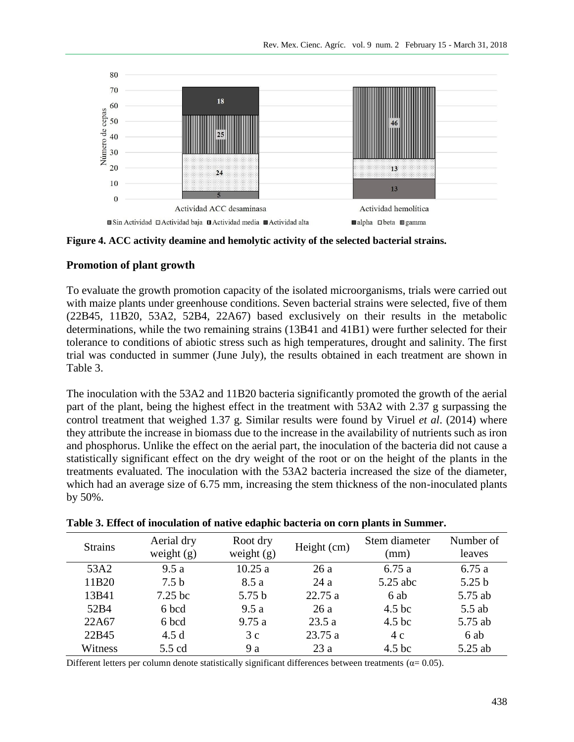

**Figure 4. ACC activity deamine and hemolytic activity of the selected bacterial strains.**

#### **Promotion of plant growth**

To evaluate the growth promotion capacity of the isolated microorganisms, trials were carried out with maize plants under greenhouse conditions. Seven bacterial strains were selected, five of them (22B45, 11B20, 53A2, 52B4, 22A67) based exclusively on their results in the metabolic determinations, while the two remaining strains (13B41 and 41B1) were further selected for their tolerance to conditions of abiotic stress such as high temperatures, drought and salinity. The first trial was conducted in summer (June July), the results obtained in each treatment are shown in Table 3.

The inoculation with the 53A2 and 11B20 bacteria significantly promoted the growth of the aerial part of the plant, being the highest effect in the treatment with 53A2 with 2.37 g surpassing the control treatment that weighed 1.37 g. Similar results were found by Viruel *et al*. (2014) where they attribute the increase in biomass due to the increase in the availability of nutrients such as iron and phosphorus. Unlike the effect on the aerial part, the inoculation of the bacteria did not cause a statistically significant effect on the dry weight of the root or on the height of the plants in the treatments evaluated. The inoculation with the 53A2 bacteria increased the size of the diameter, which had an average size of 6.75 mm, increasing the stem thickness of the non-inoculated plants by 50%.

| <b>Strains</b> | Aerial dry<br>weight $(g)$ | Root dry<br>weight $(g)$ | Height (cm) | Stem diameter<br>(mm) | Number of<br>leaves |
|----------------|----------------------------|--------------------------|-------------|-----------------------|---------------------|
| 53A2           | 9.5a                       | 10.25a                   | 26 a        | 6.75a                 | 6.75a               |
| 11B20          | 7.5 <sub>b</sub>           | 8.5 a                    | 24 a        | 5.25 abc              | 5.25 <sub>b</sub>   |
| 13B41          | $7.25$ bc                  | 5.75 <sub>b</sub>        | 22.75a      | 6 ab                  | 5.75 ab             |
| 52B4           | 6 bcd                      | 9.5a                     | 26 a        | 4.5 <sub>bc</sub>     | $5.5$ ab            |
| 22A67          | 6 bcd                      | 9.75a                    | 23.5a       | 4.5 <sub>bc</sub>     | 5.75 ab             |
| 22B45          | 4.5d                       | 3c                       | 23.75 a     | 4c                    | 6 ab                |
| Witness        | 5.5 cd                     | 9 a                      | 23a         | 4.5 <sub>bc</sub>     | 5.25 ab             |

#### **Table 3. Effect of inoculation of native edaphic bacteria on corn plants in Summer.**

Different letters per column denote statistically significant differences between treatments ( $\alpha$ = 0.05).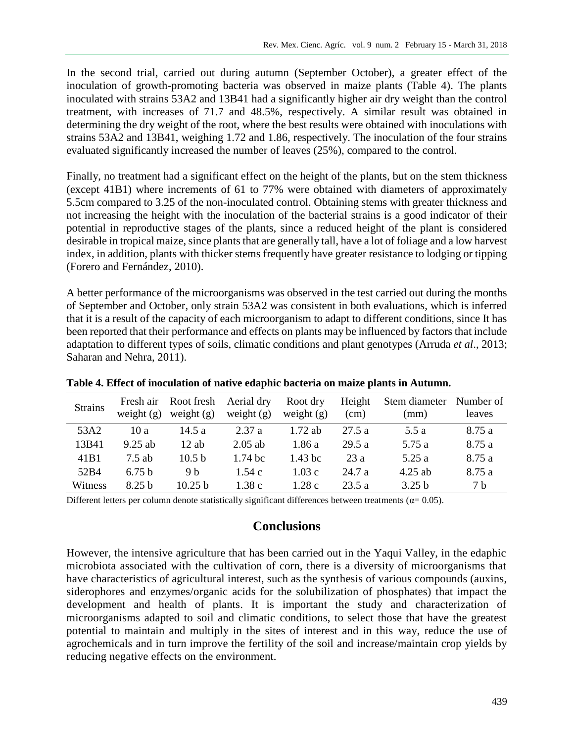In the second trial, carried out during autumn (September October), a greater effect of the inoculation of growth-promoting bacteria was observed in maize plants (Table 4). The plants inoculated with strains 53A2 and 13B41 had a significantly higher air dry weight than the control treatment, with increases of 71.7 and 48.5%, respectively. A similar result was obtained in determining the dry weight of the root, where the best results were obtained with inoculations with strains 53A2 and 13B41, weighing 1.72 and 1.86, respectively. The inoculation of the four strains evaluated significantly increased the number of leaves (25%), compared to the control.

Finally, no treatment had a significant effect on the height of the plants, but on the stem thickness (except 41B1) where increments of 61 to 77% were obtained with diameters of approximately 5.5cm compared to 3.25 of the non-inoculated control. Obtaining stems with greater thickness and not increasing the height with the inoculation of the bacterial strains is a good indicator of their potential in reproductive stages of the plants, since a reduced height of the plant is considered desirable in tropical maize, since plants that are generally tall, have a lot of foliage and a low harvest index, in addition, plants with thicker stems frequently have greater resistance to lodging or tipping (Forero and Fernández, 2010).

A better performance of the microorganisms was observed in the test carried out during the months of September and October, only strain 53A2 was consistent in both evaluations, which is inferred that it is a result of the capacity of each microorganism to adapt to different conditions, since It has been reported that their performance and effects on plants may be influenced by factors that include adaptation to different types of soils, climatic conditions and plant genotypes (Arruda *et al*., 2013; Saharan and Nehra, 2011).

| <b>Strains</b>   | Fresh air<br>weight $(g)$ | Root fresh<br>weight $(g)$ | Aerial dry<br>weight $(g)$ | Root dry<br>weight $(g)$ | Height<br>(cm) | Stem diameter<br>(mm) | Number of<br>leaves |
|------------------|---------------------------|----------------------------|----------------------------|--------------------------|----------------|-----------------------|---------------------|
| 53A2             | 10 a                      | 14.5a                      | 2.37 a                     | $1.72$ ab                | 27.5a          | 5.5 a                 | 8.75 a              |
| 13B41            | $9.25$ ab                 | $12$ ab                    | $2.05$ ab                  | 1.86a                    | 29.5a          | 5.75 a                | 8.75 a              |
| 41 <sub>B1</sub> | $7.5$ ab                  | 10.5 <sub>b</sub>          | $1.74~\mathrm{bc}$         | $1.43$ bc                | 23a            | 5.25a                 | 8.75 a              |
| 52B4             | 6.75 <sub>b</sub>         | 9 b                        | 1.54c                      | 1.03c                    | 24.7 a         | $4.25$ ab             | 8.75 a              |
| Witness          | 8.25 <sub>b</sub>         | 10.25 h                    | 1.38c                      | 1.28c                    | 23.5 a         | 3.25 b                | 7 b                 |

**Table 4. Effect of inoculation of native edaphic bacteria on maize plants in Autumn.**

Different letters per column denote statistically significant differences between treatments ( $\alpha$ = 0.05).

### **Conclusions**

However, the intensive agriculture that has been carried out in the Yaqui Valley, in the edaphic microbiota associated with the cultivation of corn, there is a diversity of microorganisms that have characteristics of agricultural interest, such as the synthesis of various compounds (auxins, siderophores and enzymes/organic acids for the solubilization of phosphates) that impact the development and health of plants. It is important the study and characterization of microorganisms adapted to soil and climatic conditions, to select those that have the greatest potential to maintain and multiply in the sites of interest and in this way, reduce the use of agrochemicals and in turn improve the fertility of the soil and increase/maintain crop yields by reducing negative effects on the environment.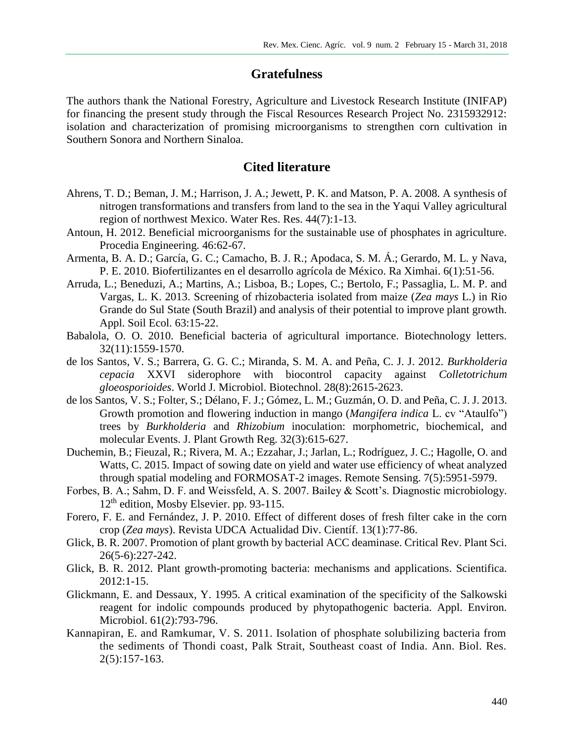### **Gratefulness**

The authors thank the National Forestry, Agriculture and Livestock Research Institute (INIFAP) for financing the present study through the Fiscal Resources Research Project No. 2315932912: isolation and characterization of promising microorganisms to strengthen corn cultivation in Southern Sonora and Northern Sinaloa.

## **Cited literature**

- Ahrens, T. D.; Beman, J. M.; Harrison, J. A.; Jewett, P. K. and Matson, P. A. 2008. A synthesis of nitrogen transformations and transfers from land to the sea in the Yaqui Valley agricultural region of northwest Mexico. Water Res. Res. 44(7):1-13.
- Antoun, H. 2012. Beneficial microorganisms for the sustainable use of phosphates in agriculture. Procedia Engineering. 46:62-67.
- Armenta, B. A. D.; García, G. C.; Camacho, B. J. R.; Apodaca, S. M. Á.; Gerardo, M. L. y Nava, P. E. 2010. Biofertilizantes en el desarrollo agrícola de México. Ra Ximhai. 6(1):51-56.
- Arruda, L.; Beneduzi, A.; Martins, A.; Lisboa, B.; Lopes, C.; Bertolo, F.; Passaglia, L. M. P. and Vargas, L. K. 2013. Screening of rhizobacteria isolated from maize (*Zea mays* L.) in Rio Grande do Sul State (South Brazil) and analysis of their potential to improve plant growth. Appl. Soil Ecol. 63:15-22.
- Babalola, O. O. 2010. Beneficial bacteria of agricultural importance. Biotechnology letters. 32(11):1559-1570.
- de los Santos, V. S.; Barrera, G. G. C.; Miranda, S. M. A. and Peña, C. J. J. 2012. *Burkholderia cepacia* XXVI siderophore with biocontrol capacity against *Colletotrichum gloeosporioides*. World J. Microbiol. Biotechnol. 28(8):2615-2623.
- de los Santos, V. S.; Folter, S.; Délano, F. J.; Gómez, L. M.; Guzmán, O. D. and Peña, C. J. J. 2013. Growth promotion and flowering induction in mango (*Mangifera indica* L. cv "Ataulfo") trees by *Burkholderia* and *Rhizobium* inoculation: morphometric, biochemical, and molecular Events. J. Plant Growth Reg. 32(3):615-627.
- Duchemin, B.; Fieuzal, R.; Rivera, M. A.; Ezzahar, J.; Jarlan, L.; Rodríguez, J. C.; Hagolle, O. and Watts, C. 2015. Impact of sowing date on yield and water use efficiency of wheat analyzed through spatial modeling and FORMOSAT-2 images. Remote Sensing. 7(5):5951-5979.
- Forbes, B. A.; Sahm, D. F. and Weissfeld, A. S. 2007. Bailey & Scott's. Diagnostic microbiology. 12th edition, Mosby Elsevier. pp. 93-115.
- Forero, F. E. and Fernández, J. P. 2010. Effect of different doses of fresh filter cake in the corn crop (*Zea mays*). Revista UDCA Actualidad Div. Científ. 13(1):77-86.
- Glick, B. R. 2007. Promotion of plant growth by bacterial ACC deaminase. Critical Rev. Plant Sci. 26(5-6):227-242.
- Glick, B. R. 2012. Plant growth-promoting bacteria: mechanisms and applications. Scientifica. 2012:1-15.
- Glickmann, E. and Dessaux, Y. 1995. A critical examination of the specificity of the Salkowski reagent for indolic compounds produced by phytopathogenic bacteria. Appl. Environ. Microbiol. 61(2):793-796.
- Kannapiran, E. and Ramkumar, V. S. 2011. Isolation of phosphate solubilizing bacteria from the sediments of Thondi coast, Palk Strait, Southeast coast of India. Ann. Biol. Res. 2(5):157-163.